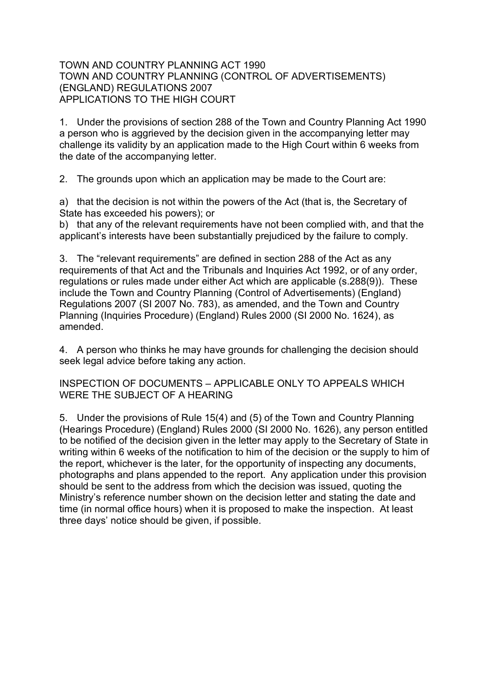## TOWN AND COUNTRY PLANNING ACT 1990 TOWN AND COUNTRY PLANNING (CONTROL OF ADVERTISEMENTS) (ENGLAND) REGULATIONS 2007 APPLICATIONS TO THE HIGH COURT

1. Under the provisions of section 288 of the Town and Country Planning Act 1990 a person who is aggrieved by the decision given in the accompanying letter may challenge its validity by an application made to the High Court within 6 weeks from the date of the accompanying letter.

2. The grounds upon which an application may be made to the Court are:

a) that the decision is not within the powers of the Act (that is, the Secretary of State has exceeded his powers); or

b) that any of the relevant requirements have not been complied with, and that the applicant's interests have been substantially prejudiced by the failure to comply.

3. The "relevant requirements" are defined in section 288 of the Act as any requirements of that Act and the Tribunals and Inquiries Act 1992, or of any order, regulations or rules made under either Act which are applicable (s.288(9)). These include the Town and Country Planning (Control of Advertisements) (England) Regulations 2007 (SI 2007 No. 783), as amended, and the Town and Country Planning (Inquiries Procedure) (England) Rules 2000 (SI 2000 No. 1624), as amended.

4. A person who thinks he may have grounds for challenging the decision should seek legal advice before taking any action.

INSPECTION OF DOCUMENTS – APPLICABLE ONLY TO APPEALS WHICH WERE THE SUBJECT OF A HEARING

5. Under the provisions of Rule 15(4) and (5) of the Town and Country Planning (Hearings Procedure) (England) Rules 2000 (SI 2000 No. 1626), any person entitled to be notified of the decision given in the letter may apply to the Secretary of State in writing within 6 weeks of the notification to him of the decision or the supply to him of the report, whichever is the later, for the opportunity of inspecting any documents, photographs and plans appended to the report. Any application under this provision should be sent to the address from which the decision was issued, quoting the Ministry's reference number shown on the decision letter and stating the date and time (in normal office hours) when it is proposed to make the inspection. At least three days' notice should be given, if possible.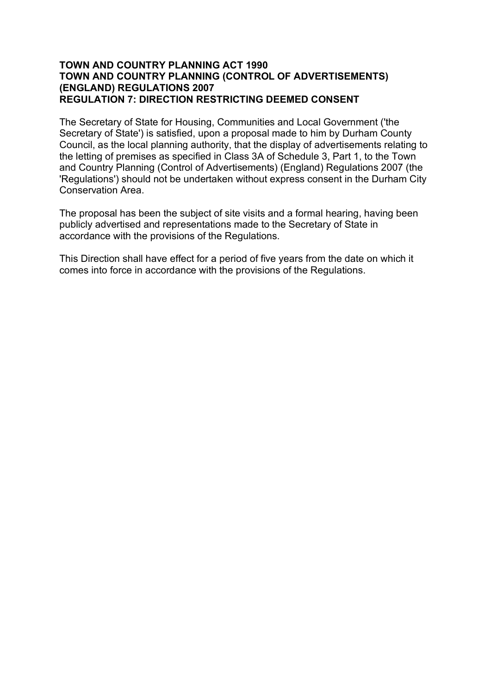## **TOWN AND COUNTRY PLANNING ACT 1990 TOWN AND COUNTRY PLANNING (CONTROL OF ADVERTISEMENTS) (ENGLAND) REGULATIONS 2007 REGULATION 7: DIRECTION RESTRICTING DEEMED CONSENT**

The Secretary of State for Housing, Communities and Local Government ('the Secretary of State') is satisfied, upon a proposal made to him by Durham County Council, as the local planning authority, that the display of advertisements relating to the letting of premises as specified in Class 3A of Schedule 3, Part 1, to the Town and Country Planning (Control of Advertisements) (England) Regulations 2007 (the 'Regulations') should not be undertaken without express consent in the Durham City Conservation Area.

The proposal has been the subject of site visits and a formal hearing, having been publicly advertised and representations made to the Secretary of State in accordance with the provisions of the Regulations.

This Direction shall have effect for a period of five years from the date on which it comes into force in accordance with the provisions of the Regulations.